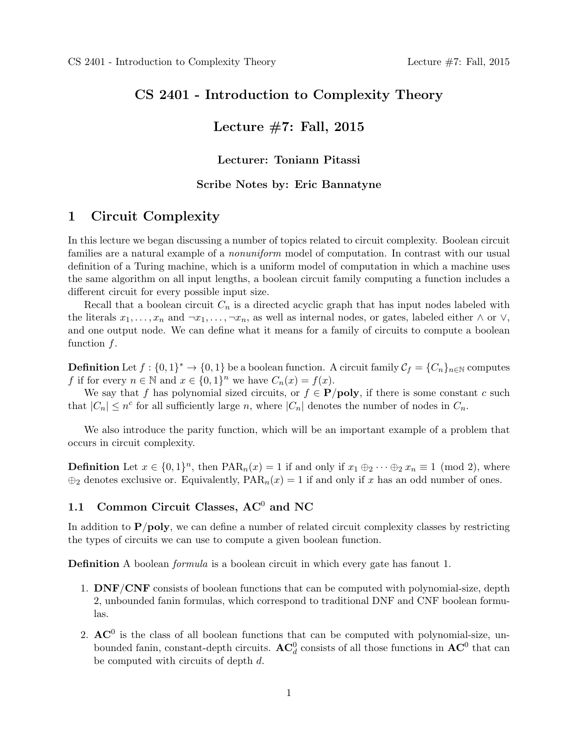### **CS 2401 - Introduction to Complexity Theory**

# **Lecture #7: Fall, 2015**

### **Lecturer: Toniann Pitassi**

### **Scribe Notes by: Eric Bannatyne**

## **1 Circuit Complexity**

In this lecture we began discussing a number of topics related to circuit complexity. Boolean circuit families are a natural example of a *nonuniform* model of computation. In contrast with our usual definition of a Turing machine, which is a uniform model of computation in which a machine uses the same algorithm on all input lengths, a boolean circuit family computing a function includes a different circuit for every possible input size.

Recall that a boolean circuit *C<sup>n</sup>* is a directed acyclic graph that has input nodes labeled with the literals  $x_1, \ldots, x_n$  and  $\neg x_1, \ldots, \neg x_n$ , as well as internal nodes, or gates, labeled either  $\land$  or  $\lor$ , and one output node. We can define what it means for a family of circuits to compute a boolean function *f*.

**Definition** Let  $f : \{0,1\}^* \to \{0,1\}$  be a boolean function. A circuit family  $\mathcal{C}_f = \{C_n\}_{n \in \mathbb{N}}$  computes *f* if for every  $n \in \mathbb{N}$  and  $x \in \{0, 1\}^n$  we have  $C_n(x) = f(x)$ .

We say that *f* has polynomial sized circuits, or  $f \in \mathbf{P}/\text{poly}$ , if there is some constant *c* such that  $|C_n| \leq n^c$  for all sufficiently large *n*, where  $|C_n|$  denotes the number of nodes in  $C_n$ .

We also introduce the parity function, which will be an important example of a problem that occurs in circuit complexity.

**Definition** Let  $x \in \{0,1\}^n$ , then  $\text{PAR}_n(x) = 1$  if and only if  $x_1 \oplus_2 \cdots \oplus_2 x_n \equiv 1 \pmod{2}$ , where  $\oplus$ <sub>2</sub> denotes exclusive or. Equivalently,  $PAR_n(x) = 1$  if and only if *x* has an odd number of ones.

# 1.1 Common Circuit Classes, AC<sup>0</sup> and NC

In addition to **P***/***poly**, we can define a number of related circuit complexity classes by restricting the types of circuits we can use to compute a given boolean function.

**Definition** A boolean *formula* is a boolean circuit in which every gate has fanout 1.

- 1. **DNF***/***CNF** consists of boolean functions that can be computed with polynomial-size, depth 2, unbounded fanin formulas, which correspond to traditional DNF and CNF boolean formulas.
- 2.  $AC<sup>0</sup>$  is the class of all boolean functions that can be computed with polynomial-size, unbounded fanin, constant-depth circuits.  $AC_d^0$  consists of all those functions in  $AC^0$  that can be computed with circuits of depth *d*.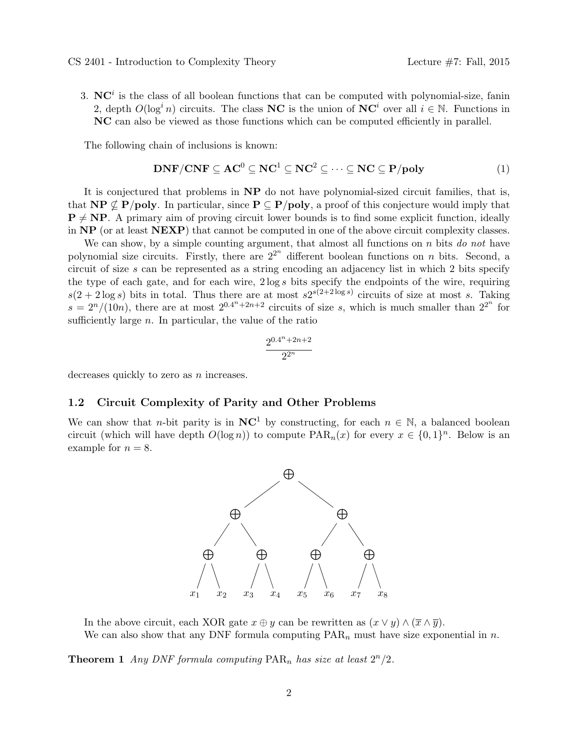3.  $\mathbf{NC}^i$  is the class of all boolean functions that can be computed with polynomial-size, fanin 2, depth  $O(\log^i n)$  circuits. The class **NC** is the union of **NC**<sup>*i*</sup> over all  $i \in \mathbb{N}$ . Functions in **NC** can also be viewed as those functions which can be computed efficiently in parallel.

The following chain of inclusions is known:

$$
DNF/CNF \subseteq AC^0 \subseteq NC^1 \subseteq NC^2 \subseteq \cdots \subseteq NC \subseteq P/poly \tag{1}
$$

It is conjectured that problems in **NP** do not have polynomial-sized circuit families, that is, that **NP**  $\nsubseteq$  **P***/***poly**. In particular, since **P**  $\subseteq$  **P***/***poly**, a proof of this conjecture would imply that  $P \neq NP$ . A primary aim of proving circuit lower bounds is to find some explicit function, ideally in **NP** (or at least **NEXP**) that cannot be computed in one of the above circuit complexity classes.

We can show, by a simple counting argument, that almost all functions on *n* bits *do not* have polynomial size circuits. Firstly, there are  $2^{2^n}$  different boolean functions on *n* bits. Second, a circuit of size *s* can be represented as a string encoding an adjacency list in which 2 bits specify the type of each gate, and for each wire, 2 log *s* bits specify the endpoints of the wire, requiring  $s(2+2\log s)$  bits in total. Thus there are at most  $s2^{s(2+2\log s)}$  circuits of size at most *s*. Taking  $s = 2<sup>n</sup>/(10n)$ , there are at most  $2<sup>0.4<sup>n</sup>+2n+2</sup>$  circuits of size *s*, which is much smaller than  $2<sup>2<sup>n</sup></sup>$  for sufficiently large *n*. In particular, the value of the ratio

$$
\frac{2^{0.4^n + 2n + 2}}{2^{2^n}}
$$

decreases quickly to zero as *n* increases.

#### **1.2 Circuit Complexity of Parity and Other Problems**

We can show that *n*-bit parity is in  $NC^1$  by constructing, for each  $n \in \mathbb{N}$ , a balanced boolean circuit (which will have depth  $O(\log n)$ ) to compute  $\text{PAR}_n(x)$  for every  $x \in \{0,1\}^n$ . Below is an example for  $n = 8$ .



In the above circuit, each XOR gate  $x \oplus y$  can be rewritten as  $(x \vee y) \wedge (\overline{x} \wedge \overline{y})$ . We can also show that any DNF formula computing PAR*<sup>n</sup>* must have size exponential in *n*.

**Theorem 1** *Any DNF formula computing*  $\text{PAR}_n$  *has size at least*  $2^n/2$ *.*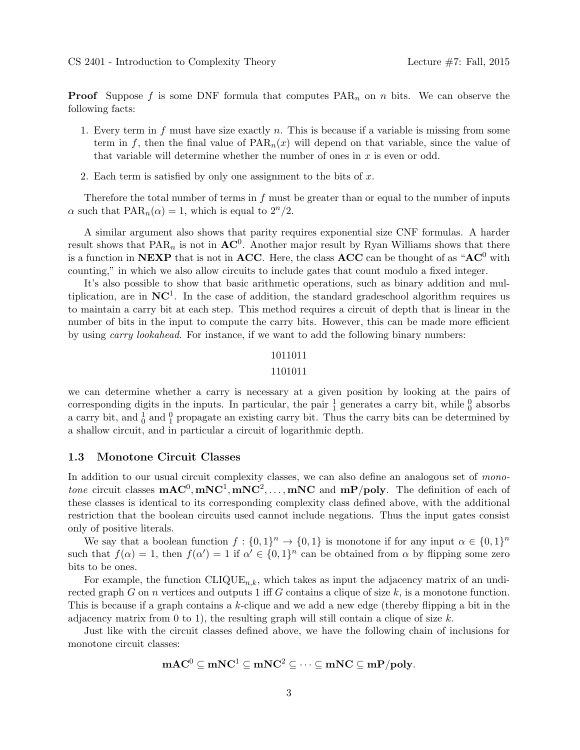**Proof** Suppose *f* is some DNF formula that computes PAR*<sup>n</sup>* on *n* bits. We can observe the following facts:

- 1. Every term in *f* must have size exactly *n*. This is because if a variable is missing from some term in f, then the final value of  $\text{PAR}_n(x)$  will depend on that variable, since the value of that variable will determine whether the number of ones in *x* is even or odd.
- 2. Each term is satisfied by only one assignment to the bits of *x*.

Therefore the total number of terms in *f* must be greater than or equal to the number of inputs *α* such that  $PAR_n(\alpha) = 1$ , which is equal to  $2^n/2$ .

A similar argument also shows that parity requires exponential size CNF formulas. A harder result shows that  $PAR_n$  is not in  $AC^0$ . Another major result by Ryan Williams shows that there is a function in **NEXP** that is not in **ACC**. Here, the class **ACC** can be thought of as "**AC**<sup>0</sup> with counting," in which we also allow circuits to include gates that count modulo a fixed integer.

It's also possible to show that basic arithmetic operations, such as binary addition and multiplication, are in **NC**<sup>1</sup> . In the case of addition, the standard gradeschool algorithm requires us to maintain a carry bit at each step. This method requires a circuit of depth that is linear in the number of bits in the input to compute the carry bits. However, this can be made more efficient by using *carry lookahead*. For instance, if we want to add the following binary numbers:

#### 1011011

#### 1101011

we can determine whether a carry is necessary at a given position by looking at the pairs of corresponding digits in the inputs. In particular, the pair  $\frac{1}{1}$  generates a carry bit, while  $\frac{0}{0}$  absorbs a carry bit, and  $\frac{1}{0}$  and  $\frac{0}{1}$  propagate an existing carry bit. Thus the carry bits can be determined by a shallow circuit, and in particular a circuit of logarithmic depth.

#### **1.3 Monotone Circuit Classes**

In addition to our usual circuit complexity classes, we can also define an analogous set of *monotone* circuit classes  $\mathbf{mAC}^0$ ,  $\mathbf{mNC}^1$ ,  $\mathbf{mNC}^2$ ,...,  $\mathbf{mNC}$  and  $\mathbf{mP/poly}$ . The definition of each of these classes is identical to its corresponding complexity class defined above, with the additional restriction that the boolean circuits used cannot include negations. Thus the input gates consist only of positive literals.

We say that a boolean function  $f: \{0,1\}^n \to \{0,1\}$  is monotone if for any input  $\alpha \in \{0,1\}^n$ such that  $f(\alpha) = 1$ , then  $f(\alpha') = 1$  if  $\alpha' \in \{0,1\}^n$  can be obtained from  $\alpha$  by flipping some zero bits to be ones.

For example, the function  $CLIQUE<sub>n,k</sub>$ , which takes as input the adjacency matrix of an undirected graph *G* on *n* vertices and outputs 1 iff *G* contains a clique of size *k*, is a monotone function. This is because if a graph contains a *k*-clique and we add a new edge (thereby flipping a bit in the adjacency matrix from 0 to 1), the resulting graph will still contain a clique of size *k*.

Just like with the circuit classes defined above, we have the following chain of inclusions for monotone circuit classes:

$$
\mathbf{mAC}^0\subseteq \mathbf{mNC}^1\subseteq \mathbf{mNC}^2\subseteq\cdots\subseteq \mathbf{mNC}\subseteq \mathbf{mP/poly}.
$$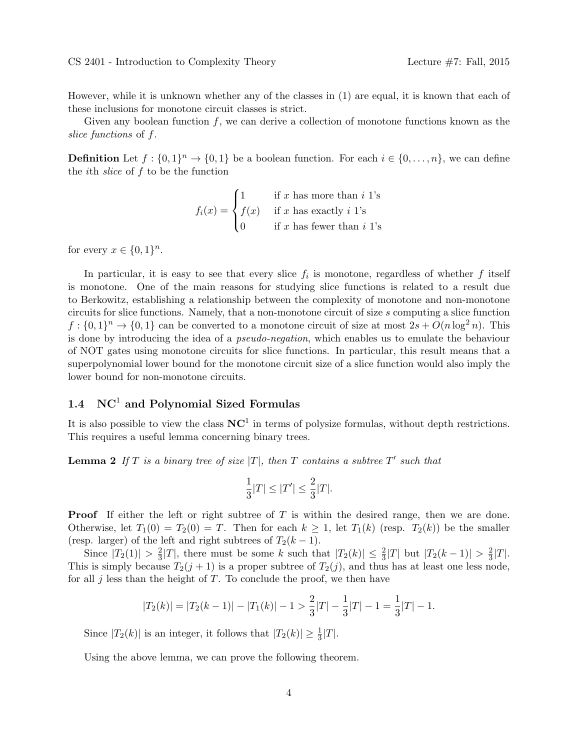However, while it is unknown whether any of the classes in (1) are equal, it is known that each of these inclusions for monotone circuit classes is strict.

Given any boolean function *f*, we can derive a collection of monotone functions known as the *slice functions* of *f*.

**Definition** Let  $f: \{0,1\}^n \to \{0,1\}$  be a boolean function. For each  $i \in \{0,\ldots,n\}$ , we can define the *i*th *slice* of *f* to be the function

$$
f_i(x) = \begin{cases} 1 & \text{if } x \text{ has more than } i \text{ 1's} \\ f(x) & \text{if } x \text{ has exactly } i \text{ 1's} \\ 0 & \text{if } x \text{ has fewer than } i \text{ 1's} \end{cases}
$$

for every  $x \in \{0, 1\}^n$ .

In particular, it is easy to see that every slice  $f_i$  is monotone, regardless of whether  $f$  itself is monotone. One of the main reasons for studying slice functions is related to a result due to Berkowitz, establishing a relationship between the complexity of monotone and non-monotone circuits for slice functions. Namely, that a non-monotone circuit of size *s* computing a slice function  $f: \{0,1\}^n \to \{0,1\}$  can be converted to a monotone circuit of size at most  $2s + O(n \log^2 n)$ . This is done by introducing the idea of a *pseudo-negation*, which enables us to emulate the behaviour of NOT gates using monotone circuits for slice functions. In particular, this result means that a superpolynomial lower bound for the monotone circuit size of a slice function would also imply the lower bound for non-monotone circuits.

# **1.4 NC**<sup>1</sup> **and Polynomial Sized Formulas**

It is also possible to view the class  $NC<sup>1</sup>$  in terms of polysize formulas, without depth restrictions. This requires a useful lemma concerning binary trees.

**Lemma 2** If  $T$  is a binary tree of size  $|T|$ , then  $T$  contains a subtree  $T'$  such that

$$
\frac{1}{3}|T| \le |T'| \le \frac{2}{3}|T|.
$$

**Proof** If either the left or right subtree of *T* is within the desired range, then we are done. Otherwise, let  $T_1(0) = T_2(0) = T$ . Then for each  $k \geq 1$ , let  $T_1(k)$  (resp.  $T_2(k)$ ) be the smaller (resp. larger) of the left and right subtrees of  $T_2(k-1)$ .

Since  $|T_2(1)| > \frac{2}{3}$  $\frac{2}{3}|T|$ , there must be some *k* such that  $|T_2(k)| \leq \frac{2}{3}|T|$  but  $|T_2(k-1)| > \frac{2}{3}$  $\frac{2}{3}|T|$ . This is simply because  $T_2(j + 1)$  is a proper subtree of  $T_2(j)$ , and thus has at least one less node, for all *j* less than the height of *T*. To conclude the proof, we then have

$$
|T_2(k)| = |T_2(k-1)| - |T_1(k)| - 1 > \frac{2}{3}|T| - \frac{1}{3}|T| - 1 = \frac{1}{3}|T| - 1.
$$

Since  $|T_2(k)|$  is an integer, it follows that  $|T_2(k)| \geq \frac{1}{3}|T|$ .

Using the above lemma, we can prove the following theorem.